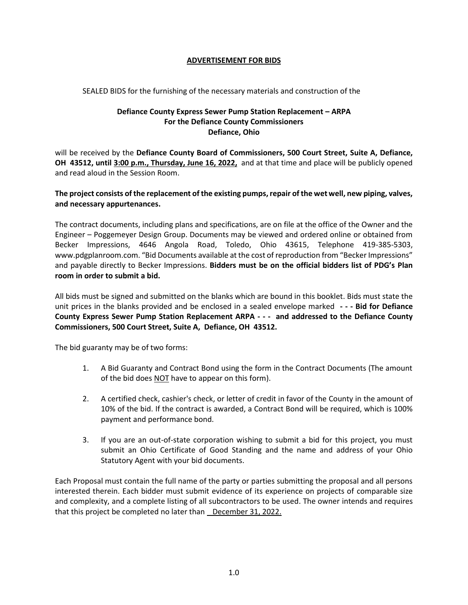## **ADVERTISEMENT FOR BIDS**

## SEALED BIDS for the furnishing of the necessary materials and construction of the

## **Defiance County Express Sewer Pump Station Replacement – ARPA For the Defiance County Commissioners Defiance, Ohio**

will be received by the **Defiance County Board of Commissioners, 500 Court Street, Suite A, Defiance, OH 43512, until 3:00 p.m., Thursday, June 16, 2022,** and at that time and place will be publicly opened and read aloud in the Session Room.

## **The project consists of the replacement of the existing pumps, repair of the wet well, new piping, valves, and necessary appurtenances.**

The contract documents, including plans and specifications, are on file at the office of the Owner and the Engineer – Poggemeyer Design Group. Documents may be viewed and ordered online or obtained from Becker Impressions, 4646 Angola Road, Toledo, Ohio 43615, Telephone 419-385-5303, www.pdgplanroom.com. "Bid Documents available at the cost of reproduction from "Becker Impressions" and payable directly to Becker Impressions. **Bidders must be on the official bidders list of PDG's Plan room in order to submit a bid.**

All bids must be signed and submitted on the blanks which are bound in this booklet. Bids must state the unit prices in the blanks provided and be enclosed in a sealed envelope marked **- - - Bid for Defiance County Express Sewer Pump Station Replacement ARPA - - - and addressed to the Defiance County Commissioners, 500 Court Street, Suite A, Defiance, OH 43512.**

The bid guaranty may be of two forms:

- 1. A Bid Guaranty and Contract Bond using the form in the Contract Documents (The amount of the bid does NOT have to appear on this form).
- 2. A certified check, cashier's check, or letter of credit in favor of the County in the amount of 10% of the bid. If the contract is awarded, a Contract Bond will be required, which is 100% payment and performance bond.
- 3. If you are an out-of-state corporation wishing to submit a bid for this project, you must submit an Ohio Certificate of Good Standing and the name and address of your Ohio Statutory Agent with your bid documents.

Each Proposal must contain the full name of the party or parties submitting the proposal and all persons interested therein. Each bidder must submit evidence of its experience on projects of comparable size and complexity, and a complete listing of all subcontractors to be used. The owner intends and requires that this project be completed no later than December 31, 2022.